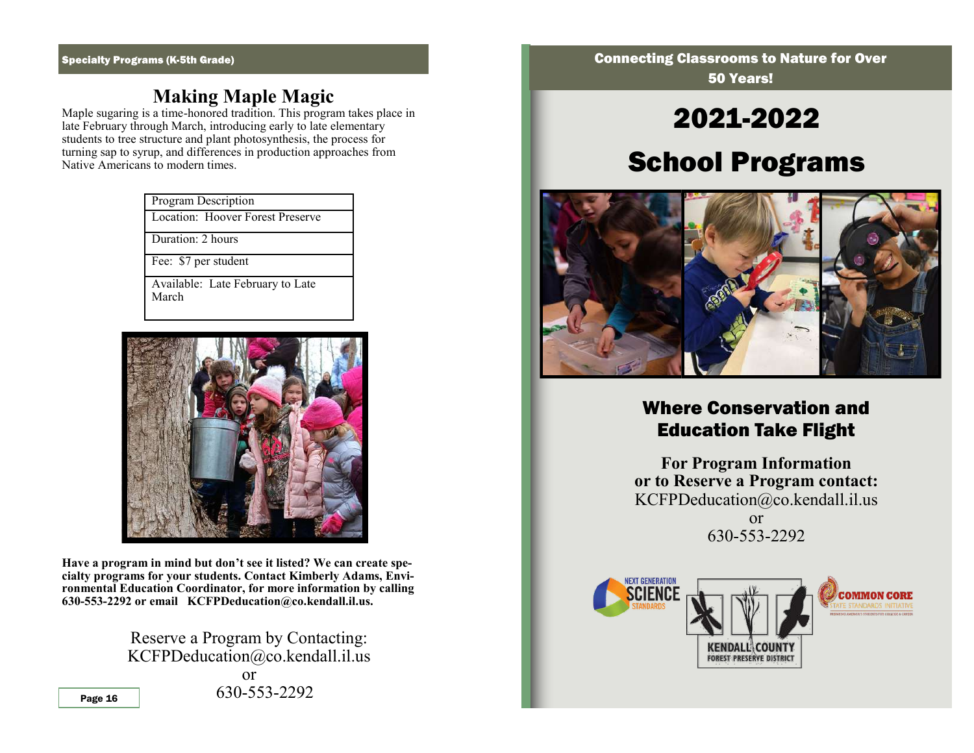## **Making Maple Magic**

Maple sugaring is a time-honored tradition. This program takes place in late February through March, introducing early to late elementary students to tree structure and plant photosynthesis, the process for turning sap to syrup, and differences in production approaches from Native Americans to modern times.

| <b>Program Description</b> |                                  |
|----------------------------|----------------------------------|
|                            | Location: Hoover Forest Preserve |

Duration: 2 hours

Fee: \$7 per student

Available: Late February to Late March



**Have a program in mind but don't see it listed? We can create specialty programs for your students. Contact Kimberly Adams, Environmental Education Coordinator, for more information by calling 630-553-2292 or email KCFPDeducation@co.kendall.il.us.** 

> Reserve a Program by Contacting: KCFPDeducation@co.kendall.il.us

or Page 16 630-553-2292 **Connecting Classrooms to Nature for Over** 50 Years!

# 2021-2022

## School Programs



## Where Conservation and Education Take Flight

**For Program Information or to Reserve a Program contact:** KCFPDeducation@co.kendall.il.us or 630-553-2292

**NEXT GENERATIO COMMON CORE KENDALL\COUNTY FOREST PRESERVE DISTRICT**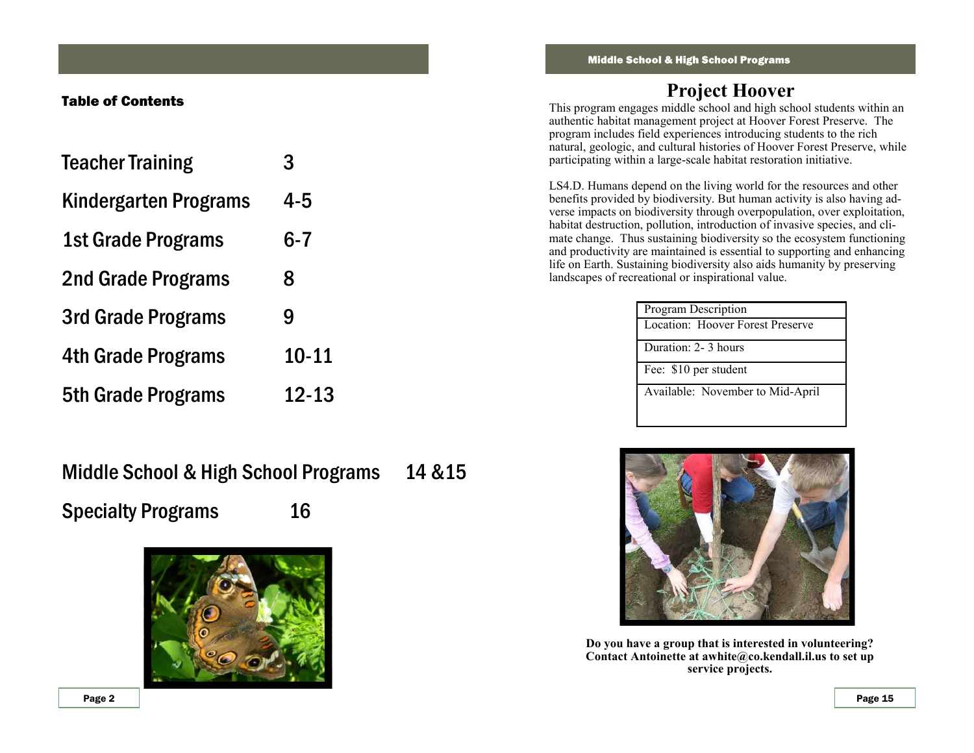#### Table of Contents

| <b>Teacher Training</b>   | 3         |
|---------------------------|-----------|
| Kindergarten Programs     | 4-5       |
| 1st Grade Programs        | $6 - 7$   |
| 2nd Grade Programs        | 8         |
| 3rd Grade Programs        | 9         |
| 4th Grade Programs        | $10 - 11$ |
| <b>5th Grade Programs</b> | $12 - 13$ |

Middle School & High School Programs 14 &15 Specialty Programs 16



## **Project Hoover**

This program engages middle school and high school students within an authentic habitat management project at Hoover Forest Preserve. The program includes field experiences introducing students to the rich natural, geologic, and cultural histories of Hoover Forest Preserve, while participating within a large-scale habitat restoration initiative.

LS4.D. Humans depend on the living world for the resources and other benefits provided by biodiversity. But human activity is also having adverse impacts on biodiversity through overpopulation, over exploitation, habitat destruction, pollution, introduction of invasive species, and climate change. Thus sustaining biodiversity so the ecosystem functioning and productivity are maintained is essential to supporting and enhancing life on Earth. Sustaining biodiversity also aids humanity by preserving landscapes of recreational or inspirational value.

| Program Description              |  |
|----------------------------------|--|
| Location: Hoover Forest Preserve |  |
| Duration: 2-3 hours              |  |
| Fee: \$10 per student            |  |
| Available: November to Mid-April |  |
|                                  |  |



**Do you have a group that is interested in volunteering? Contact Antoinette at awhite@co.kendall.il.us to set up service projects.**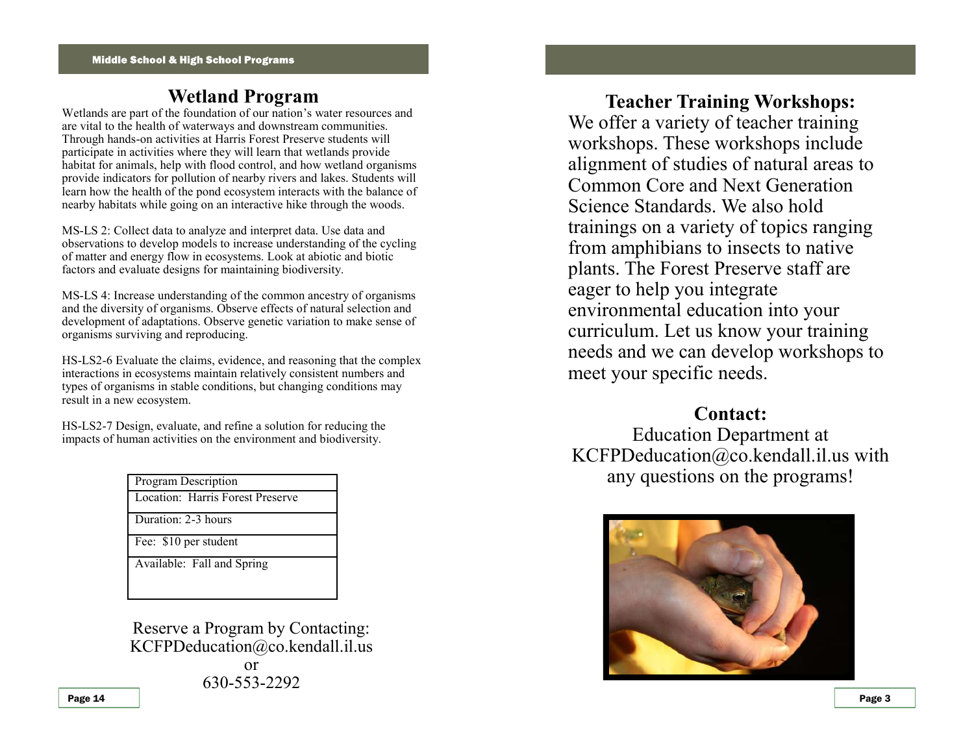## **Wetland Program**

Wetlands are part of the foundation of our nation's water resources and are vital to the health of waterways and downstream communities. Through hands-on activities at Harris Forest Preserve students will participate in activities where they will learn that wetlands provide habitat for animals, help with flood control, and how wetland organisms provide indicators for pollution of nearby rivers and lakes. Students will learn how the health of the pond ecosystem interacts with the balance of nearby habitats while going on an interactive hike through the woods.

MS-LS 2: Collect data to analyze and interpret data. Use data and observations to develop models to increase understanding of the cycling of matter and energy flow in ecosystems. Look at abiotic and biotic factors and evaluate designs for maintaining biodiversity.

MS-LS 4: Increase understanding of the common ancestry of organisms and the diversity of organisms. Observe effects of natural selection and development of adaptations. Observe genetic variation to make sense of organisms surviving and reproducing.

HS-LS2-6 Evaluate the claims, evidence, and reasoning that the complex interactions in ecosystems maintain relatively consistent numbers and types of organisms in stable conditions, but changing conditions may result in a new ecosystem.

HS-LS2-7 Design, evaluate, and refine a solution for reducing the impacts of human activities on the environment and biodiversity.

| <b>Program Description</b>       |  |
|----------------------------------|--|
| Location: Harris Forest Preserve |  |
| Duration: 2-3 hours              |  |
| Fee: \$10 per student            |  |
| Available: Fall and Spring       |  |

Reserve a Program by Contacting: KCFPDeducation@co.kendall.il.us or 630-553-2292

**Teacher Training Workshops:** We offer a variety of teacher training workshops. These workshops include alignment of studies of natural areas to Common Core and Next Generation Science Standards. We also hold trainings on a variety of topics ranging from amphibians to insects to native plants. The Forest Preserve staff are eager to help you integrate environmental education into your curriculum. Let us know your training needs and we can develop workshops to meet your specific needs.

#### **Contact:**

Education Department at KCFPDeducation@co.kendall.il.us with any questions on the programs!

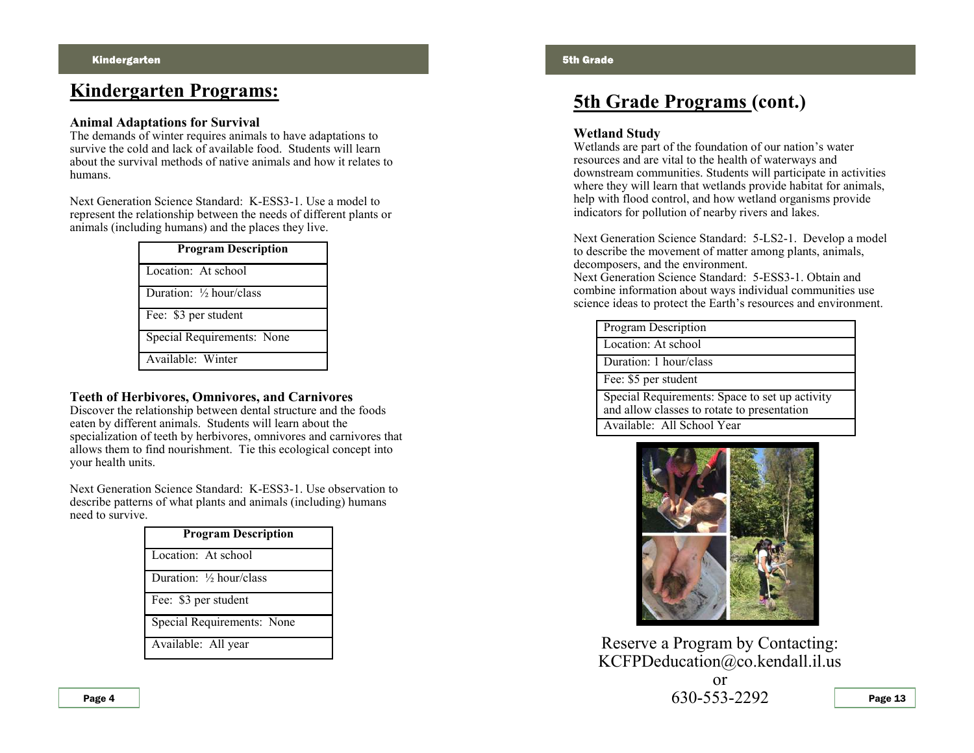## **Kindergarten Programs:**

#### **Animal Adaptations for Survival**

The demands of winter requires animals to have adaptations to survive the cold and lack of available food. Students will learn about the survival methods of native animals and how it relates to humans.

Next Generation Science Standard: K-ESS3-1. Use a model to represent the relationship between the needs of different plants or animals (including humans) and the places they live.

| <b>Program Description</b>         |  |
|------------------------------------|--|
| Location: At school                |  |
| Duration: $\frac{1}{2}$ hour/class |  |
| Fee: \$3 per student               |  |
| Special Requirements: None         |  |
| Available: Winter                  |  |

#### **Teeth of Herbivores, Omnivores, and Carnivores**

Discover the relationship between dental structure and the foods eaten by different animals. Students will learn about the specialization of teeth by herbivores, omnivores and carnivores that allows them to find nourishment. Tie this ecological concept into your health units.

Next Generation Science Standard: K-ESS3-1. Use observation to describe patterns of what plants and animals (including) humans need to survive.

| <b>Program Description</b>           |  |
|--------------------------------------|--|
| Location: At school                  |  |
| Duration: 1/ <sub>2</sub> hour/class |  |
| Fee: \$3 per student                 |  |
| <b>Special Requirements: None</b>    |  |
| Available: All year                  |  |

## **5th Grade Programs (cont.)**

#### **Wetland Study**

Wetlands are part of the foundation of our nation's water resources and are vital to the health of waterways and downstream communities. Students will participate in activities where they will learn that wetlands provide habitat for animals, help with flood control, and how wetland organisms provide indicators for pollution of nearby rivers and lakes.

Next Generation Science Standard: 5-LS2-1. Develop a model to describe the movement of matter among plants, animals, decomposers, and the environment.

Next Generation Science Standard: 5-ESS3-1. Obtain and combine information about ways individual communities use science ideas to protect the Earth's resources and environment.

| Program Description                                                                           |  |
|-----------------------------------------------------------------------------------------------|--|
| Location: At school                                                                           |  |
| Duration: 1 hour/class                                                                        |  |
| Fee: \$5 per student                                                                          |  |
| Special Requirements: Space to set up activity<br>and allow classes to rotate to presentation |  |
| Available: All School Year                                                                    |  |



Reserve a Program by Contacting: KCFPDeducation@co.kendall.il.us

> or 630-553-2292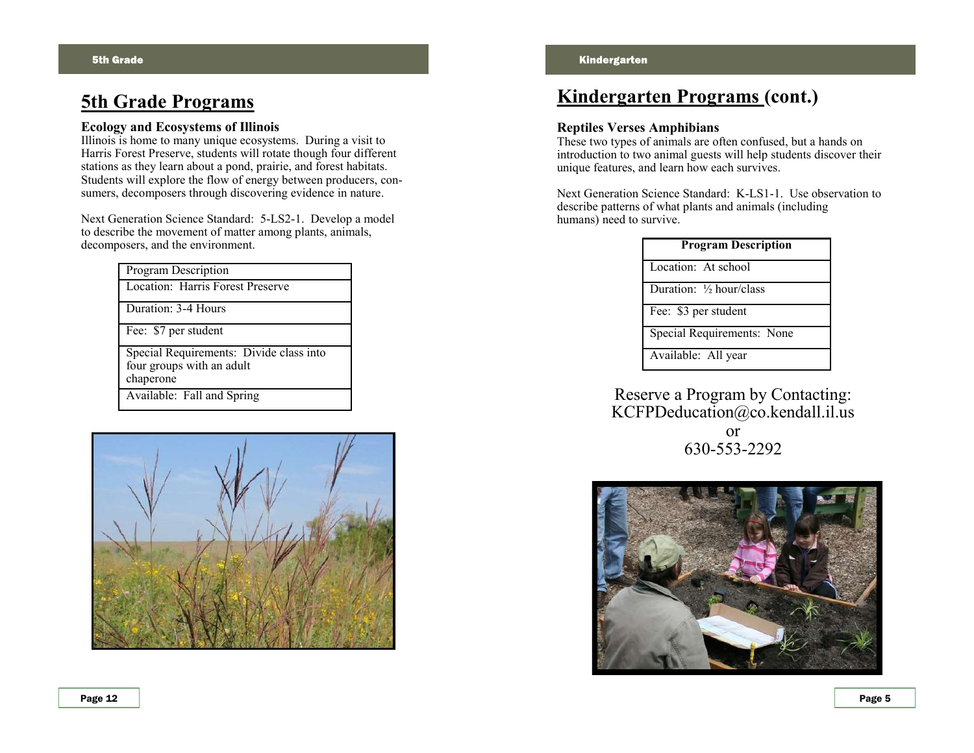### **5th Grade Programs**

#### **Ecology and Ecosystems of Illinois**

Illinois is home to many unique ecosystems. During a visit to Harris Forest Preserve, students will rotate though four different stations as they learn about a pond, prairie, and forest habitats. Students will explore the flow of energy between producers, consumers, decomposers through discovering evidence in nature.

Next Generation Science Standard: 5-LS2-1. Develop a model to describe the movement of matter among plants, animals, decomposers, and the environment.

| Program Description                     |  |
|-----------------------------------------|--|
| Location: Harris Forest Preserve        |  |
| Duration: 3-4 Hours                     |  |
| Fee: \$7 per student                    |  |
| Special Requirements: Divide class into |  |
| four groups with an adult               |  |
| chaperone                               |  |
| Available: Fall and Spring              |  |



## **Kindergarten Programs (cont.)**

#### **Reptiles Verses Amphibians**

These two types of animals are often confused, but a hands on introduction to two animal guests will help students discover their unique features, and learn how each survives.

Next Generation Science Standard: K-LS1-1. Use observation to describe patterns of what plants and animals (including humans) need to survive.

| <b>Program Description</b> |  |
|----------------------------|--|
| Location: At school        |  |
| Duration: 1/2 hour/class   |  |
| Fee: \$3 per student       |  |
| Special Requirements: None |  |
| Available: All year        |  |
|                            |  |

#### Reserve a Program by Contacting: KCFPDeducation@co.kendall.il.us

or 630-553-2292

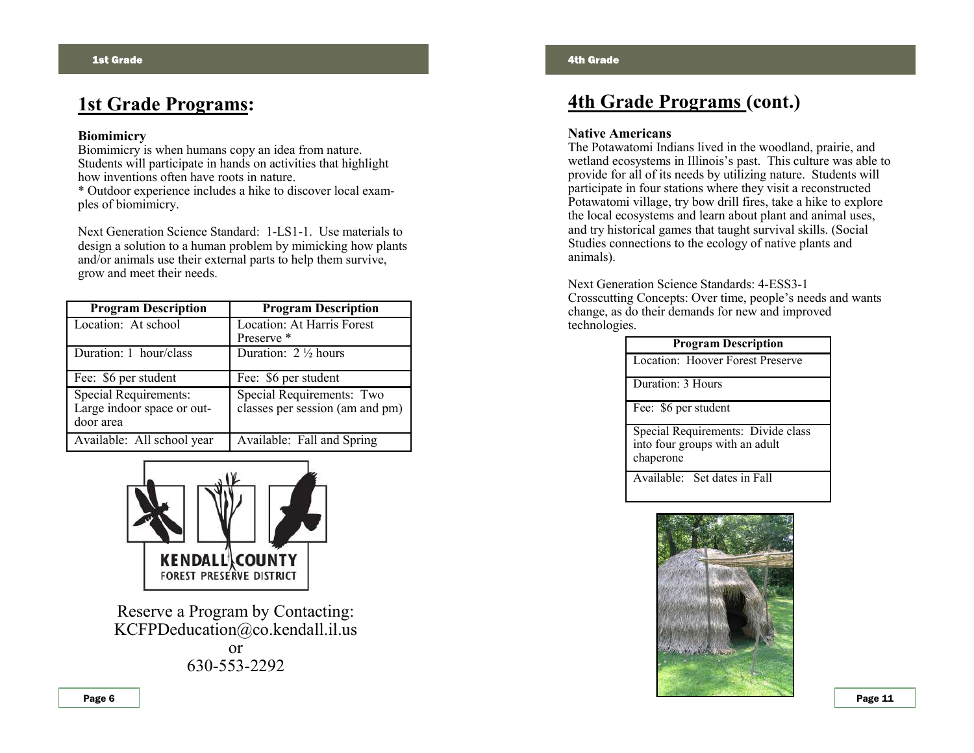## **1st Grade Programs:**

#### **Biomimicry**

Biomimicry is when humans copy an idea from nature. Students will participate in hands on activities that highlight how inventions often have roots in nature.

\* Outdoor experience includes a hike to discover local examples of biomimicry.

Next Generation Science Standard: 1-LS1-1. Use materials to design a solution to a human problem by mimicking how plants and/or animals use their external parts to help them survive, grow and meet their needs.

| <b>Program Description</b>   | <b>Program Description</b>      |
|------------------------------|---------------------------------|
| Location: At school          | Location: At Harris Forest      |
|                              | Preserve*                       |
| Duration: 1 hour/class       | Duration: $2 \frac{1}{2}$ hours |
| Fee: \$6 per student         | Fee: \$6 per student            |
| <b>Special Requirements:</b> | Special Requirements: Two       |
| Large indoor space or out-   | classes per session (am and pm) |
| door area                    |                                 |
| Available: All school year   | Available: Fall and Spring      |



Reserve a Program by Contacting: KCFPDeducation@co.kendall.il.us or 630-553-2292

## **4th Grade Programs (cont.)**

#### **Native Americans**

The Potawatomi Indians lived in the woodland, prairie, and wetland ecosystems in Illinois's past. This culture was able to provide for all of its needs by utilizing nature. Students will participate in four stations where they visit a reconstructed Potawatomi village, try bow drill fires, take a hike to explore the local ecosystems and learn about plant and animal uses, and try historical games that taught survival skills. (Social Studies connections to the ecology of native plants and animals).

Next Generation Science Standards: 4-ESS3-1 Crosscutting Concepts: Over time, people's needs and wants change, as do their demands for new and improved technologies.

| <b>Program Description</b>                                                        |  |
|-----------------------------------------------------------------------------------|--|
| Location: Hoover Forest Preserve                                                  |  |
| Duration: 3 Hours                                                                 |  |
| Fee: \$6 per student                                                              |  |
| Special Requirements: Divide class<br>into four groups with an adult<br>chaperone |  |
| Available: Set dates in Fall                                                      |  |

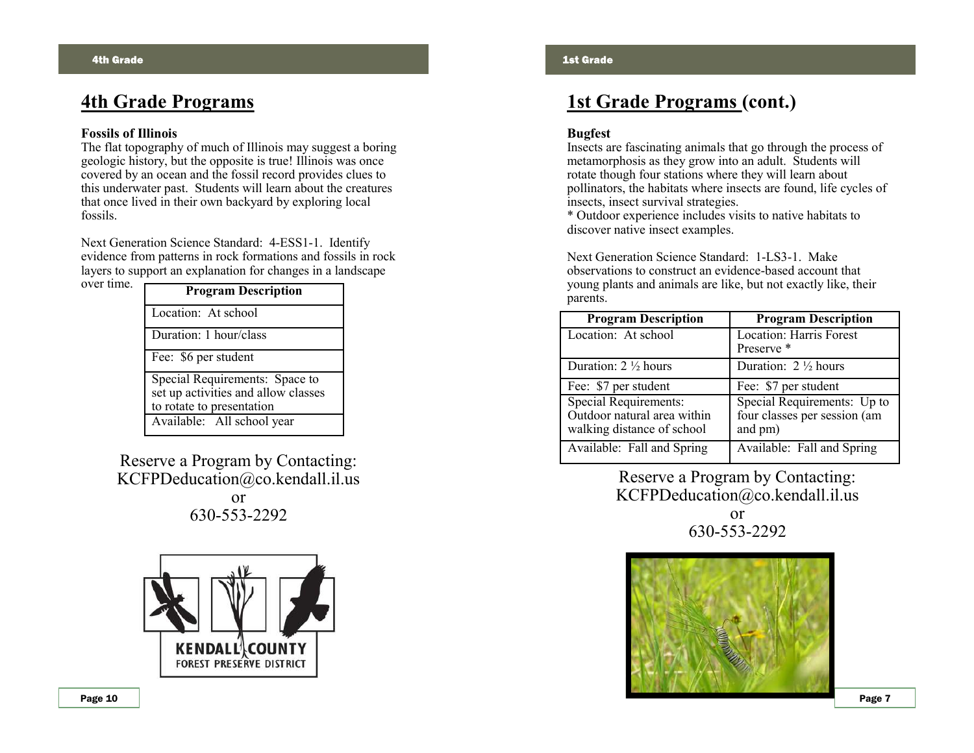## **4th Grade Programs**

#### **Fossils of Illinois**

The flat topography of much of Illinois may suggest a boring geologic history, but the opposite is true! Illinois was once covered by an ocean and the fossil record provides clues to this underwater past. Students will learn about the creatures that once lived in their own backyard by exploring local fossils.

Next Generation Science Standard: 4-ESS1-1. Identify evidence from patterns in rock formations and fossils in rock layers to support an explanation for changes in a landscape over time.

| <b>Program Description</b>                                            |  |
|-----------------------------------------------------------------------|--|
| Location: At school                                                   |  |
| Duration: 1 hour/class                                                |  |
| Fee: \$6 per student                                                  |  |
| Special Requirements: Space to<br>set up activities and allow classes |  |
| to rotate to presentation                                             |  |
| Available: All school year                                            |  |

Reserve a Program by Contacting: KCFPDeducation@co.kendall.il.us

> or 630-553-2292



## **1st Grade Programs (cont.)**

#### **Bugfest**

Insects are fascinating animals that go through the process of metamorphosis as they grow into an adult. Students will rotate though four stations where they will learn about pollinators, the habitats where insects are found, life cycles of insects, insect survival strategies.

\* Outdoor experience includes visits to native habitats to discover native insect examples.

Next Generation Science Standard: 1-LS3-1. Make observations to construct an evidence-based account that young plants and animals are like, but not exactly like, their parents.

| <b>Program Description</b>                                                                | <b>Program Description</b>                                             |
|-------------------------------------------------------------------------------------------|------------------------------------------------------------------------|
| Location: At school                                                                       | <b>Location: Harris Forest</b><br>Preserve <sup>*</sup>                |
| Duration: $2 \frac{1}{2}$ hours                                                           | Duration: $2 \frac{1}{2}$ hours                                        |
| Fee: \$7 per student                                                                      | Fee: \$7 per student                                                   |
| <b>Special Requirements:</b><br>Outdoor natural area within<br>walking distance of school | Special Requirements: Up to<br>four classes per session (am<br>and pm) |
| Available: Fall and Spring                                                                | Available: Fall and Spring                                             |

Reserve a Program by Contacting: KCFPDeducation@co.kendall.il.us or 630-553-2292